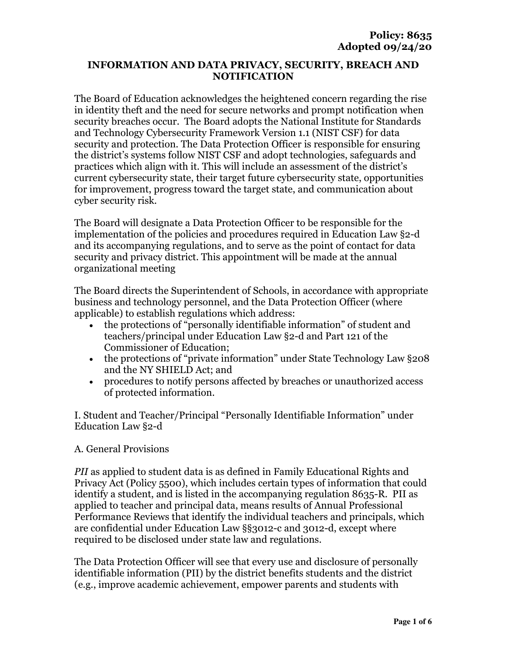#### **INFORMATION AND DATA PRIVACY, SECURITY, BREACH AND NOTIFICATION**

The Board of Education acknowledges the heightened concern regarding the rise in identity theft and the need for secure networks and prompt notification when security breaches occur. The Board adopts the National Institute for Standards and Technology Cybersecurity Framework Version 1.1 (NIST CSF) for data security and protection. The Data Protection Officer is responsible for ensuring the district's systems follow NIST CSF and adopt technologies, safeguards and practices which align with it. This will include an assessment of the district's current cybersecurity state, their target future cybersecurity state, opportunities for improvement, progress toward the target state, and communication about cyber security risk.

The Board will designate a Data Protection Officer to be responsible for the implementation of the policies and procedures required in Education Law §2-d and its accompanying regulations, and to serve as the point of contact for data security and privacy district. This appointment will be made at the annual organizational meeting

The Board directs the Superintendent of Schools, in accordance with appropriate business and technology personnel, and the Data Protection Officer (where applicable) to establish regulations which address:

- the protections of "personally identifiable information" of student and teachers/principal under Education Law §2-d and Part 121 of the Commissioner of Education;
- the protections of "private information" under State Technology Law §208 and the NY SHIELD Act; and
- procedures to notify persons affected by breaches or unauthorized access of protected information.

I. Student and Teacher/Principal "Personally Identifiable Information" under Education Law §2-d

## A. General Provisions

*PII* as applied to student data is as defined in Family Educational Rights and Privacy Act (Policy 5500), which includes certain types of information that could identify a student, and is listed in the accompanying regulation 8635-R. PII as applied to teacher and principal data, means results of Annual Professional Performance Reviews that identify the individual teachers and principals, which are confidential under Education Law §§3012-c and 3012-d, except where required to be disclosed under state law and regulations.

The Data Protection Officer will see that every use and disclosure of personally identifiable information (PII) by the district benefits students and the district (e.g., improve academic achievement, empower parents and students with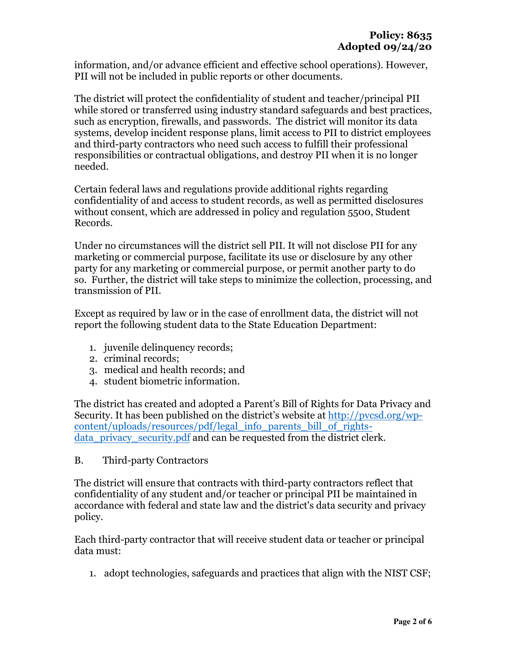information, and/or advance efficient and effective school operations). However, PII will not be included in public reports or other documents.

The district will protect the confidentiality of student and teacher/principal PII while stored or transferred using industry standard safeguards and best practices, such as encryption, firewalls, and passwords. The district will monitor its data systems, develop incident response plans, limit access to PII to district employees and third-party contractors who need such access to fulfill their professional responsibilities or contractual obligations, and destroy PII when it is no longer needed.

Certain federal laws and regulations provide additional rights regarding confidentiality of and access to student records, as well as permitted disclosures without consent, which are addressed in policy and regulation 5500, Student Records.

Under no circumstances will the district sell PII. It will not disclose PII for any marketing or commercial purpose, facilitate its use or disclosure by any other party for any marketing or commercial purpose, or permit another party to do so. Further, the district will take steps to minimize the collection, processing, and transmission of PII.

Except as required by law or in the case of enrollment data, the district will not report the following student data to the State Education Department:

- 1. juvenile delinquency records;
- 2. criminal records;
- 3. medical and health records; and
- 4. student biometric information.

The district has created and adopted a Parent's Bill of Rights for Data Privacy and Security. It has been published on the district's website at http://pvcsd.org/wpcontent/uploads/resources/pdf/legal\_info\_parents\_bill\_of\_rightsdata privacy security.pdf and can be requested from the district clerk.

B. Third-party Contractors

The district will ensure that contracts with third-party contractors reflect that confidentiality of any student and/or teacher or principal PII be maintained in accordance with federal and state law and the district's data security and privacy policy.

Each third-party contractor that will receive student data or teacher or principal data must:

1. adopt technologies, safeguards and practices that align with the NIST CSF;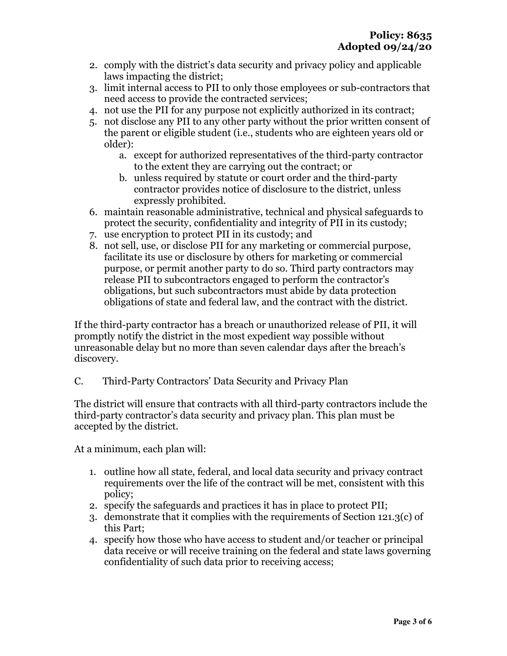- 2. comply with the district's data security and privacy policy and applicable laws impacting the district;
- 3. limit internal access to PII to only those employees or sub-contractors that need access to provide the contracted services;
- 4. not use the PII for any purpose not explicitly authorized in its contract;
- 5. not disclose any PII to any other party without the prior written consent of the parent or eligible student (i.e., students who are eighteen years old or older):
	- a. except for authorized representatives of the third-party contractor to the extent they are carrying out the contract; or
	- b. unless required by statute or court order and the third-party contractor provides notice of disclosure to the district, unless expressly prohibited.
- 6. maintain reasonable administrative, technical and physical safeguards to protect the security, confidentiality and integrity of PII in its custody;
- 7. use encryption to protect PII in its custody; and
- 8. not sell, use, or disclose PII for any marketing or commercial purpose, facilitate its use or disclosure by others for marketing or commercial purpose, or permit another party to do so. Third party contractors may release PII to subcontractors engaged to perform the contractor's obligations, but such subcontractors must abide by data protection obligations of state and federal law, and the contract with the district.

If the third-party contractor has a breach or unauthorized release of PII, it will promptly notify the district in the most expedient way possible without unreasonable delay but no more than seven calendar days after the breach's discovery.

C. Third-Party Contractors' Data Security and Privacy Plan

The district will ensure that contracts with all third-party contractors include the third-party contractor's data security and privacy plan. This plan must be accepted by the district.

At a minimum, each plan will:

- 1. outline how all state, federal, and local data security and privacy contract requirements over the life of the contract will be met, consistent with this policy;
- 2. specify the safeguards and practices it has in place to protect PII;
- 3. demonstrate that it complies with the requirements of Section 121.3(c) of this Part;
- 4. specify how those who have access to student and/or teacher or principal data receive or will receive training on the federal and state laws governing confidentiality of such data prior to receiving access;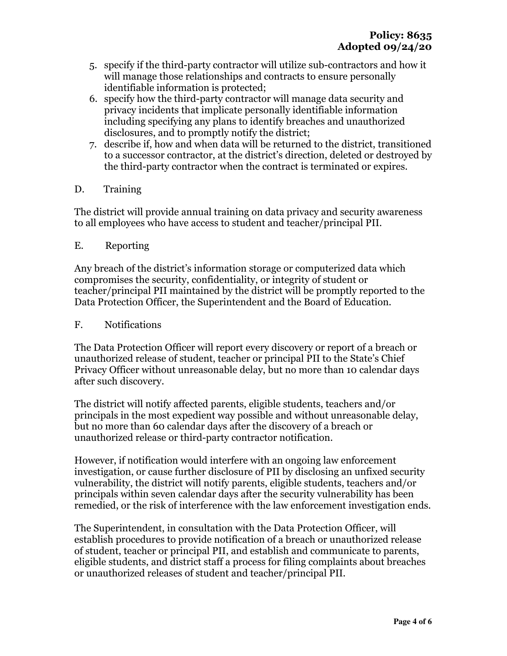- 5. specify if the third-party contractor will utilize sub-contractors and how it will manage those relationships and contracts to ensure personally identifiable information is protected;
- 6. specify how the third-party contractor will manage data security and privacy incidents that implicate personally identifiable information including specifying any plans to identify breaches and unauthorized disclosures, and to promptly notify the district;
- 7. describe if, how and when data will be returned to the district, transitioned to a successor contractor, at the district's direction, deleted or destroyed by the third-party contractor when the contract is terminated or expires.
- D. Training

The district will provide annual training on data privacy and security awareness to all employees who have access to student and teacher/principal PII.

E. Reporting

Any breach of the district's information storage or computerized data which compromises the security, confidentiality, or integrity of student or teacher/principal PII maintained by the district will be promptly reported to the Data Protection Officer, the Superintendent and the Board of Education.

### F. Notifications

The Data Protection Officer will report every discovery or report of a breach or unauthorized release of student, teacher or principal PII to the State's Chief Privacy Officer without unreasonable delay, but no more than 10 calendar days after such discovery.

The district will notify affected parents, eligible students, teachers and/or principals in the most expedient way possible and without unreasonable delay, but no more than 60 calendar days after the discovery of a breach or unauthorized release or third-party contractor notification.

However, if notification would interfere with an ongoing law enforcement investigation, or cause further disclosure of PII by disclosing an unfixed security vulnerability, the district will notify parents, eligible students, teachers and/or principals within seven calendar days after the security vulnerability has been remedied, or the risk of interference with the law enforcement investigation ends.

The Superintendent, in consultation with the Data Protection Officer, will establish procedures to provide notification of a breach or unauthorized release of student, teacher or principal PII, and establish and communicate to parents, eligible students, and district staff a process for filing complaints about breaches or unauthorized releases of student and teacher/principal PII.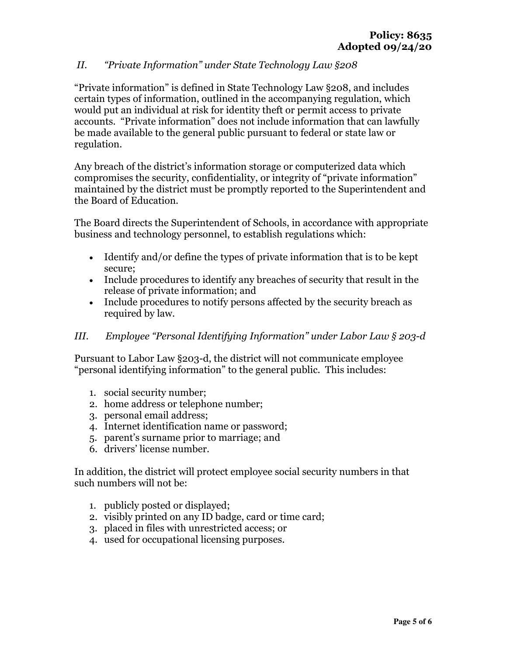# *II. "Private Information" under State Technology Law §208*

"Private information" is defined in State Technology Law §208, and includes certain types of information, outlined in the accompanying regulation, which would put an individual at risk for identity theft or permit access to private accounts. "Private information" does not include information that can lawfully be made available to the general public pursuant to federal or state law or regulation.

Any breach of the district's information storage or computerized data which compromises the security, confidentiality, or integrity of "private information" maintained by the district must be promptly reported to the Superintendent and the Board of Education.

The Board directs the Superintendent of Schools, in accordance with appropriate business and technology personnel, to establish regulations which:

- Identify and/or define the types of private information that is to be kept secure;
- Include procedures to identify any breaches of security that result in the release of private information; and
- Include procedures to notify persons affected by the security breach as required by law.

## *III. Employee "Personal Identifying Information" under Labor Law § 203-d*

Pursuant to Labor Law §203-d, the district will not communicate employee "personal identifying information" to the general public. This includes:

- 1. social security number;
- 2. home address or telephone number;
- 3. personal email address;
- 4. Internet identification name or password;
- 5. parent's surname prior to marriage; and
- 6. drivers' license number.

In addition, the district will protect employee social security numbers in that such numbers will not be:

- 1. publicly posted or displayed;
- 2. visibly printed on any ID badge, card or time card;
- 3. placed in files with unrestricted access; or
- 4. used for occupational licensing purposes.